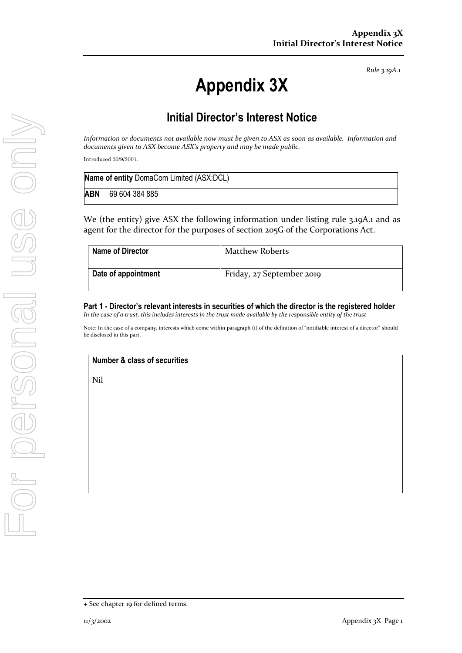*Rule 3.19A.1*

# **Appendix 3X**

## **Initial Director's Interest Notice**

*Information or documents not available now must be given to ASX as soon as available. Information and documents given to ASX become ASX's property and may be made public.*

Introduced 30/9/2001.

| Name of entity DomaCom Limited (ASX:DCL) |                |  |
|------------------------------------------|----------------|--|
| <b>ABN</b>                               | 69 604 384 885 |  |

We (the entity) give ASX the following information under listing rule 3.19A.1 and as agent for the director for the purposes of section 205G of the Corporations Act.

| Name of Director    | <b>Matthew Roberts</b>    |
|---------------------|---------------------------|
| Date of appointment | Friday, 27 September 2019 |

### **Part 1 - Director's relevant interests in securities of which the director is the registered holder**

*In the case of a trust, this includes interests in the trust made available by the responsible entity of the trust*

Note: In the case of a company, interests which come within paragraph (i) of the definition of "notifiable interest of a director" should be disclosed in this part.

#### **Number & class of securities**

Nil

<sup>+</sup> See chapter 19 for defined terms.